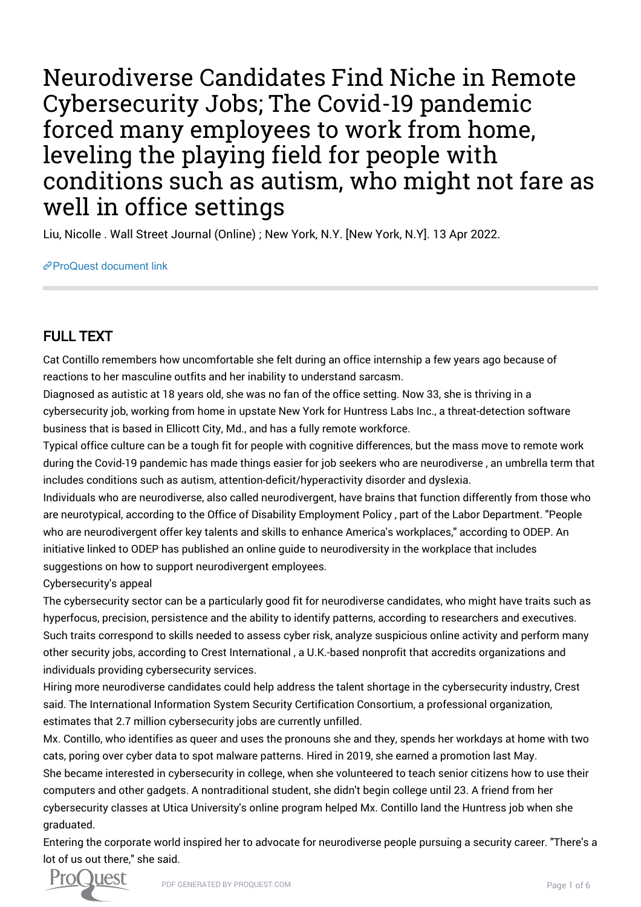Neurodiverse Candidates Find Niche in Remote Cybersecurity Jobs; The Covid-19 pandemic forced many employees to work from home, leveling the playing field for people with conditions such as autism, who might not fare as well in office settings

Liu, Nicolle . Wall Street Journal (Online) ; New York, N.Y. [New York, N.Y]. 13 Apr 2022.

[ProQuest document link](https://www.proquest.com/newspapers/neurodiverse-candidates-find-niche-remote/docview/2649508623/se-2?accountid=44910)

## FULL TEXT

Cat Contillo remembers how uncomfortable she felt during an office internship a few years ago because of reactions to her masculine outfits and her inability to understand sarcasm.

Diagnosed as autistic at 18 years old, she was no fan of the office setting. Now 33, she is thriving in a cybersecurity job, working from home in upstate New York for Huntress Labs Inc., a threat-detection software business that is based in Ellicott City, Md., and has a fully remote workforce.

Typical office culture can be a tough fit for people with cognitive differences, but the mass move to remote work during the Covid-19 pandemic has made things easier for job seekers who are neurodiverse , an umbrella term that includes conditions such as autism, attention-deficit/hyperactivity disorder and dyslexia.

Individuals who are neurodiverse, also called neurodivergent, have brains that function differently from those who are neurotypical, according to the Office of Disability Employment Policy , part of the Labor Department. "People who are neurodivergent offer key talents and skills to enhance America's workplaces," according to ODEP. An initiative linked to ODEP has published an online guide to neurodiversity in the workplace that includes suggestions on how to support neurodivergent employees.

## Cybersecurity's appeal

The cybersecurity sector can be a particularly good fit for neurodiverse candidates, who might have traits such as hyperfocus, precision, persistence and the ability to identify patterns, according to researchers and executives. Such traits correspond to skills needed to assess cyber risk, analyze suspicious online activity and perform many other security jobs, according to Crest International , a U.K.-based nonprofit that accredits organizations and individuals providing cybersecurity services.

Hiring more neurodiverse candidates could help address the talent shortage in the cybersecurity industry, Crest said. The International Information System Security Certification Consortium, a professional organization, estimates that 2.7 million cybersecurity jobs are currently unfilled.

Mx. Contillo, who identifies as queer and uses the pronouns she and they, spends her workdays at home with two cats, poring over cyber data to spot malware patterns. Hired in 2019, she earned a promotion last May. She became interested in cybersecurity in college, when she volunteered to teach senior citizens how to use their computers and other gadgets. A nontraditional student, she didn't begin college until 23. A friend from her cybersecurity classes at Utica University's online program helped Mx. Contillo land the Huntress job when she graduated.

Entering the corporate world inspired her to advocate for neurodiverse people pursuing a security career. "There's a lot of us out there," she said.

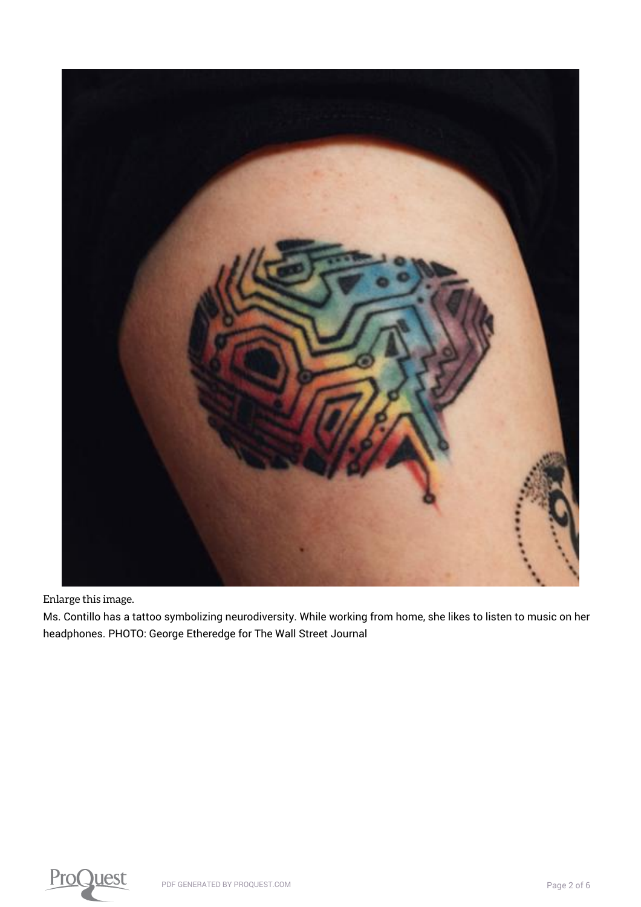

[Enlarge this image.](https://www.proquest.comhttps://www.proquest.com/textgraphic/2649508623/fulltextwithgraphics/73DE855EB7B74D88PQ/1/1?accountid=44910)

Ms. Contillo has a tattoo symbolizing neurodiversity. While working from home, she likes to listen to music on her headphones. PHOTO: George Etheredge for The Wall Street Journal

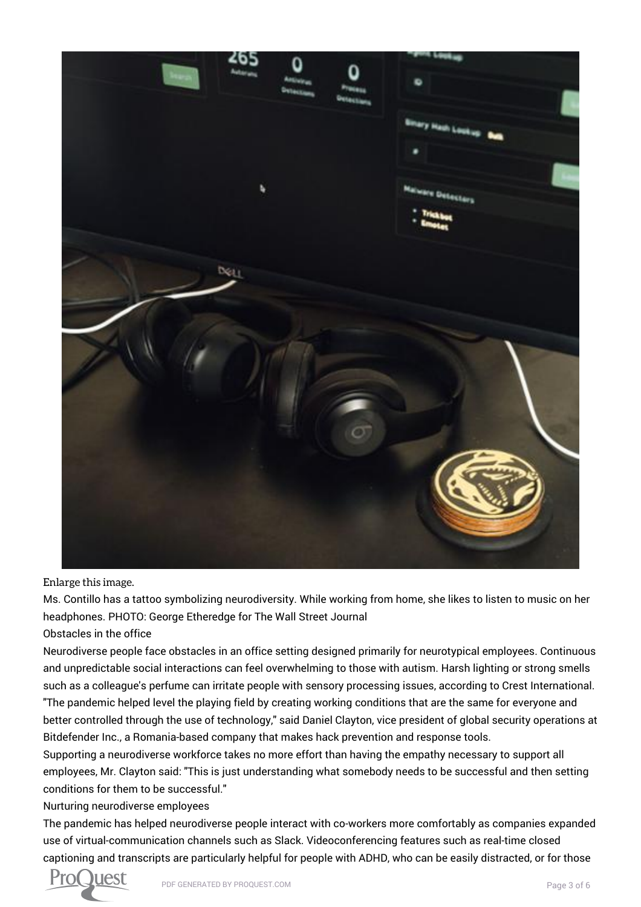

[Enlarge this image.](https://www.proquest.comhttps://www.proquest.com/textgraphic/2649508623/fulltextwithgraphics/73DE855EB7B74D88PQ/1/2?accountid=44910)

Ms. Contillo has a tattoo symbolizing neurodiversity. While working from home, she likes to listen to music on her headphones. PHOTO: George Etheredge for The Wall Street Journal

Obstacles in the office

Neurodiverse people face obstacles in an office setting designed primarily for neurotypical employees. Continuous and unpredictable social interactions can feel overwhelming to those with autism. Harsh lighting or strong smells such as a colleague's perfume can irritate people with sensory processing issues, according to Crest International. "The pandemic helped level the playing field by creating working conditions that are the same for everyone and better controlled through the use of technology," said Daniel Clayton, vice president of global security operations at Bitdefender Inc., a Romania-based company that makes hack prevention and response tools.

Supporting a neurodiverse workforce takes no more effort than having the empathy necessary to support all employees, Mr. Clayton said: "This is just understanding what somebody needs to be successful and then setting conditions for them to be successful."

## Nurturing neurodiverse employees

The pandemic has helped neurodiverse people interact with co-workers more comfortably as companies expanded use of virtual-communication channels such as Slack. Videoconferencing features such as real-time closed captioning and transcripts are particularly helpful for people with ADHD, who can be easily distracted, or for those

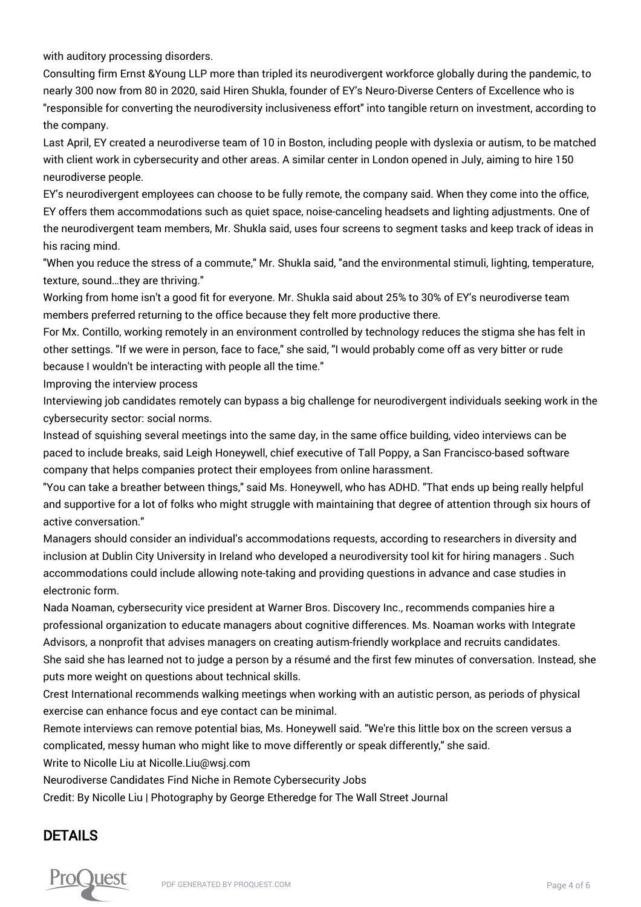with auditory processing disorders.

Consulting firm Ernst &Young LLP more than tripled its neurodivergent workforce globally during the pandemic, to nearly 300 now from 80 in 2020, said Hiren Shukla, founder of EY's Neuro-Diverse Centers of Excellence who is "responsible for converting the neurodiversity inclusiveness effort" into tangible return on investment, according to the company.

Last April, EY created a neurodiverse team of 10 in Boston, including people with dyslexia or autism, to be matched with client work in cybersecurity and other areas. A similar center in London opened in July, aiming to hire 150 neurodiverse people.

EY's neurodivergent employees can choose to be fully remote, the company said. When they come into the office, EY offers them accommodations such as quiet space, noise-canceling headsets and lighting adjustments. One of the neurodivergent team members, Mr. Shukla said, uses four screens to segment tasks and keep track of ideas in his racing mind.

"When you reduce the stress of a commute," Mr. Shukla said, "and the environmental stimuli, lighting, temperature, texture, sound…they are thriving."

Working from home isn't a good fit for everyone. Mr. Shukla said about 25% to 30% of EY's neurodiverse team members preferred returning to the office because they felt more productive there.

For Mx. Contillo, working remotely in an environment controlled by technology reduces the stigma she has felt in other settings. "If we were in person, face to face," she said, "I would probably come off as very bitter or rude because I wouldn't be interacting with people all the time."

Improving the interview process

Interviewing job candidates remotely can bypass a big challenge for neurodivergent individuals seeking work in the cybersecurity sector: social norms.

Instead of squishing several meetings into the same day, in the same office building, video interviews can be paced to include breaks, said Leigh Honeywell, chief executive of Tall Poppy, a San Francisco-based software company that helps companies protect their employees from online harassment.

"You can take a breather between things," said Ms. Honeywell, who has ADHD. "That ends up being really helpful and supportive for a lot of folks who might struggle with maintaining that degree of attention through six hours of active conversation."

Managers should consider an individual's accommodations requests, according to researchers in diversity and inclusion at Dublin City University in Ireland who developed a neurodiversity tool kit for hiring managers . Such accommodations could include allowing note-taking and providing questions in advance and case studies in electronic form.

Nada Noaman, cybersecurity vice president at Warner Bros. Discovery Inc., recommends companies hire a professional organization to educate managers about cognitive differences. Ms. Noaman works with Integrate Advisors, a nonprofit that advises managers on creating autism-friendly workplace and recruits candidates. She said she has learned not to judge a person by a résumé and the first few minutes of conversation. Instead, she puts more weight on questions about technical skills.

Crest International recommends walking meetings when working with an autistic person, as periods of physical exercise can enhance focus and eye contact can be minimal.

Remote interviews can remove potential bias, Ms. Honeywell said. "We're this little box on the screen versus a complicated, messy human who might like to move differently or speak differently," she said.

Write to Nicolle Liu at Nicolle.Liu@wsj.com

Neurodiverse Candidates Find Niche in Remote Cybersecurity Jobs

Credit: By Nicolle Liu | Photography by George Etheredge for The Wall Street Journal

## DETAILS

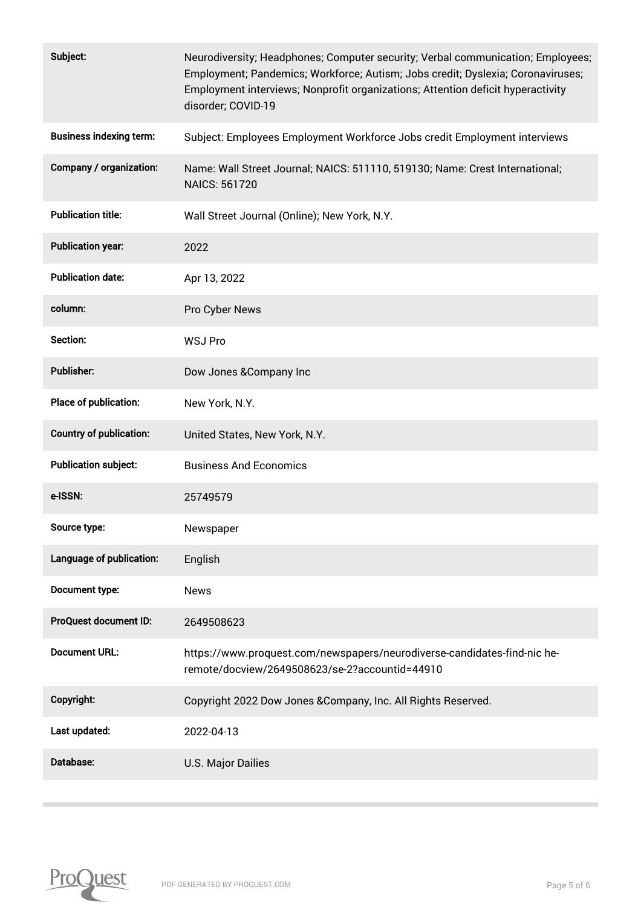| Subject:                       | Neurodiversity; Headphones; Computer security; Verbal communication; Employees;<br>Employment; Pandemics; Workforce; Autism; Jobs credit; Dyslexia; Coronaviruses;<br>Employment interviews; Nonprofit organizations; Attention deficit hyperactivity<br>disorder; COVID-19 |
|--------------------------------|-----------------------------------------------------------------------------------------------------------------------------------------------------------------------------------------------------------------------------------------------------------------------------|
| <b>Business indexing term:</b> | Subject: Employees Employment Workforce Jobs credit Employment interviews                                                                                                                                                                                                   |
| Company / organization:        | Name: Wall Street Journal; NAICS: 511110, 519130; Name: Crest International;<br><b>NAICS: 561720</b>                                                                                                                                                                        |
| <b>Publication title:</b>      | Wall Street Journal (Online); New York, N.Y.                                                                                                                                                                                                                                |
| <b>Publication year:</b>       | 2022                                                                                                                                                                                                                                                                        |
| <b>Publication date:</b>       | Apr 13, 2022                                                                                                                                                                                                                                                                |
| column:                        | Pro Cyber News                                                                                                                                                                                                                                                              |
| Section:                       | <b>WSJ Pro</b>                                                                                                                                                                                                                                                              |
| <b>Publisher:</b>              | Dow Jones & Company Inc                                                                                                                                                                                                                                                     |
| Place of publication:          | New York, N.Y.                                                                                                                                                                                                                                                              |
| <b>Country of publication:</b> | United States, New York, N.Y.                                                                                                                                                                                                                                               |
| <b>Publication subject:</b>    | <b>Business And Economics</b>                                                                                                                                                                                                                                               |
| e-ISSN:                        | 25749579                                                                                                                                                                                                                                                                    |
| Source type:                   | Newspaper                                                                                                                                                                                                                                                                   |
| Language of publication:       | English                                                                                                                                                                                                                                                                     |
| Document type:                 | <b>News</b>                                                                                                                                                                                                                                                                 |
| ProQuest document ID:          | 2649508623                                                                                                                                                                                                                                                                  |
| <b>Document URL:</b>           | https://www.proquest.com/newspapers/neurodiverse-candidates-find-nic he-<br>remote/docview/2649508623/se-2?accountid=44910                                                                                                                                                  |
| Copyright:                     | Copyright 2022 Dow Jones & Company, Inc. All Rights Reserved.                                                                                                                                                                                                               |
| Last updated:                  | 2022-04-13                                                                                                                                                                                                                                                                  |
| Database:                      | <b>U.S. Major Dailies</b>                                                                                                                                                                                                                                                   |